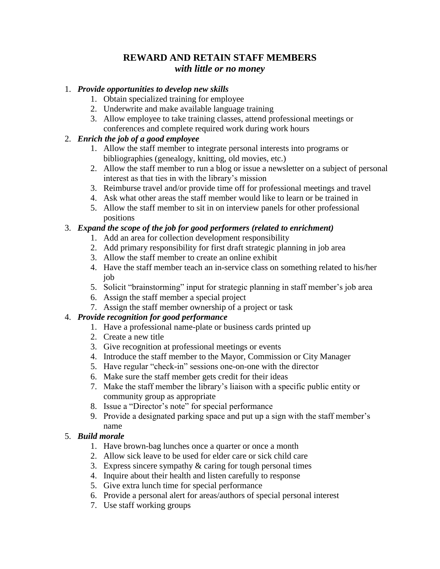# **REWARD AND RETAIN STAFF MEMBERS** *with little or no money*

#### 1. *Provide opportunities to develop new skills*

- 1. Obtain specialized training for employee
- 2. Underwrite and make available language training
- 3. Allow employee to take training classes, attend professional meetings or conferences and complete required work during work hours

## 2. *Enrich the job of a good employee*

- 1. Allow the staff member to integrate personal interests into programs or bibliographies (genealogy, knitting, old movies, etc.)
- 2. Allow the staff member to run a blog or issue a newsletter on a subject of personal interest as that ties in with the library's mission
- 3. Reimburse travel and/or provide time off for professional meetings and travel
- 4. Ask what other areas the staff member would like to learn or be trained in
- 5. Allow the staff member to sit in on interview panels for other professional positions

### 3. *Expand the scope of the job for good performers (related to enrichment)*

- 1. Add an area for collection development responsibility
- 2. Add primary responsibility for first draft strategic planning in job area
- 3. Allow the staff member to create an online exhibit
- 4. Have the staff member teach an in-service class on something related to his/her job
- 5. Solicit "brainstorming" input for strategic planning in staff member's job area
- 6. Assign the staff member a special project
- 7. Assign the staff member ownership of a project or task

## 4. *Provide recognition for good performance*

- 1. Have a professional name-plate or business cards printed up
- 2. Create a new title
- 3. Give recognition at professional meetings or events
- 4. Introduce the staff member to the Mayor, Commission or City Manager
- 5. Have regular "check-in" sessions one-on-one with the director
- 6. Make sure the staff member gets credit for their ideas
- 7. Make the staff member the library's liaison with a specific public entity or community group as appropriate
- 8. Issue a "Director's note" for special performance
- 9. Provide a designated parking space and put up a sign with the staff member's name

## 5. *Build morale*

- 1. Have brown-bag lunches once a quarter or once a month
- 2. Allow sick leave to be used for elder care or sick child care
- 3. Express sincere sympathy & caring for tough personal times
- 4. Inquire about their health and listen carefully to response
- 5. Give extra lunch time for special performance
- 6. Provide a personal alert for areas/authors of special personal interest
- 7. Use staff working groups